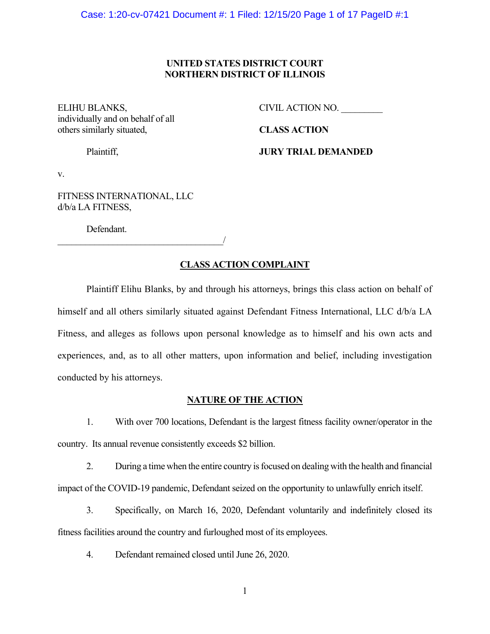## **UNITED STATES DISTRICT COURT NORTHERN DISTRICT OF ILLINOIS**

individually and on behalf of all others similarly situated, **CLASS ACTION** 

ELIHU BLANKS, CIVIL ACTION NO.

Plaintiff, **JURY TRIAL DEMANDED** 

v.

FITNESS INTERNATIONAL, LLC d/b/a LA FITNESS,

Defendant.

 $\overline{\phantom{a}}$ 

## **CLASS ACTION COMPLAINT**

Plaintiff Elihu Blanks, by and through his attorneys, brings this class action on behalf of himself and all others similarly situated against Defendant Fitness International, LLC d/b/a LA Fitness, and alleges as follows upon personal knowledge as to himself and his own acts and experiences, and, as to all other matters, upon information and belief, including investigation conducted by his attorneys.

### **NATURE OF THE ACTION**

1. With over 700 locations, Defendant is the largest fitness facility owner/operator in the country. Its annual revenue consistently exceeds \$2 billion.

2. During a time when the entire country is focused on dealing with the health and financial impact of the COVID-19 pandemic, Defendant seized on the opportunity to unlawfully enrich itself.

3. Specifically, on March 16, 2020, Defendant voluntarily and indefinitely closed its fitness facilities around the country and furloughed most of its employees.

4. Defendant remained closed until June 26, 2020.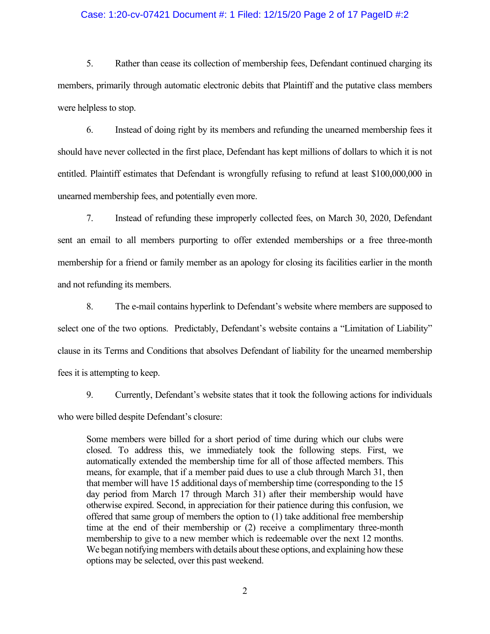### Case: 1:20-cv-07421 Document #: 1 Filed: 12/15/20 Page 2 of 17 PageID #:2

5. Rather than cease its collection of membership fees, Defendant continued charging its members, primarily through automatic electronic debits that Plaintiff and the putative class members were helpless to stop.

6. Instead of doing right by its members and refunding the unearned membership fees it should have never collected in the first place, Defendant has kept millions of dollars to which it is not entitled. Plaintiff estimates that Defendant is wrongfully refusing to refund at least \$100,000,000 in unearned membership fees, and potentially even more.

7. Instead of refunding these improperly collected fees, on March 30, 2020, Defendant sent an email to all members purporting to offer extended memberships or a free three-month membership for a friend or family member as an apology for closing its facilities earlier in the month and not refunding its members.

8. The e-mail contains hyperlink to Defendant's website where members are supposed to select one of the two options. Predictably, Defendant's website contains a "Limitation of Liability" clause in its Terms and Conditions that absolves Defendant of liability for the unearned membership fees it is attempting to keep.

9. Currently, Defendant's website states that it took the following actions for individuals who were billed despite Defendant's closure:

Some members were billed for a short period of time during which our clubs were closed. To address this, we immediately took the following steps. First, we automatically extended the membership time for all of those affected members. This means, for example, that if a member paid dues to use a club through March 31, then that member will have 15 additional days of membership time (corresponding to the 15 day period from March 17 through March 31) after their membership would have otherwise expired. Second, in appreciation for their patience during this confusion, we offered that same group of members the option to (1) take additional free membership time at the end of their membership or (2) receive a complimentary three-month membership to give to a new member which is redeemable over the next 12 months. We began notifying members with details about these options, and explaining how these options may be selected, over this past weekend.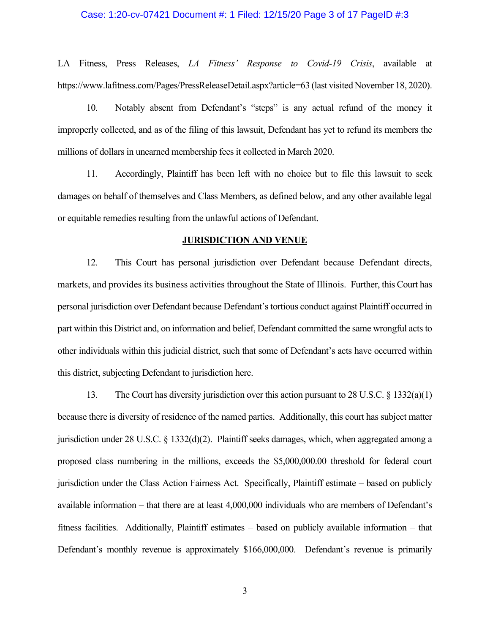### Case: 1:20-cv-07421 Document #: 1 Filed: 12/15/20 Page 3 of 17 PageID #:3

LA Fitness, Press Releases, *LA Fitness' Response to Covid-19 Crisis*, available at https://www.lafitness.com/Pages/PressReleaseDetail.aspx?article=63 (last visited November 18, 2020).

10. Notably absent from Defendant's "steps" is any actual refund of the money it improperly collected, and as of the filing of this lawsuit, Defendant has yet to refund its members the millions of dollars in unearned membership fees it collected in March 2020.

11. Accordingly, Plaintiff has been left with no choice but to file this lawsuit to seek damages on behalf of themselves and Class Members, as defined below, and any other available legal or equitable remedies resulting from the unlawful actions of Defendant.

#### **JURISDICTION AND VENUE**

12. This Court has personal jurisdiction over Defendant because Defendant directs, markets, and provides its business activities throughout the State of Illinois. Further, this Court has personal jurisdiction over Defendant because Defendant's tortious conduct against Plaintiff occurred in part within this District and, on information and belief, Defendant committed the same wrongful acts to other individuals within this judicial district, such that some of Defendant's acts have occurred within this district, subjecting Defendant to jurisdiction here.

13. The Court has diversity jurisdiction over this action pursuant to 28 U.S.C. § 1332(a)(1) because there is diversity of residence of the named parties. Additionally, this court has subject matter jurisdiction under 28 U.S.C. § 1332(d)(2). Plaintiff seeks damages, which, when aggregated among a proposed class numbering in the millions, exceeds the \$5,000,000.00 threshold for federal court jurisdiction under the Class Action Fairness Act. Specifically, Plaintiff estimate – based on publicly available information – that there are at least 4,000,000 individuals who are members of Defendant's fitness facilities. Additionally, Plaintiff estimates – based on publicly available information – that Defendant's monthly revenue is approximately \$166,000,000. Defendant's revenue is primarily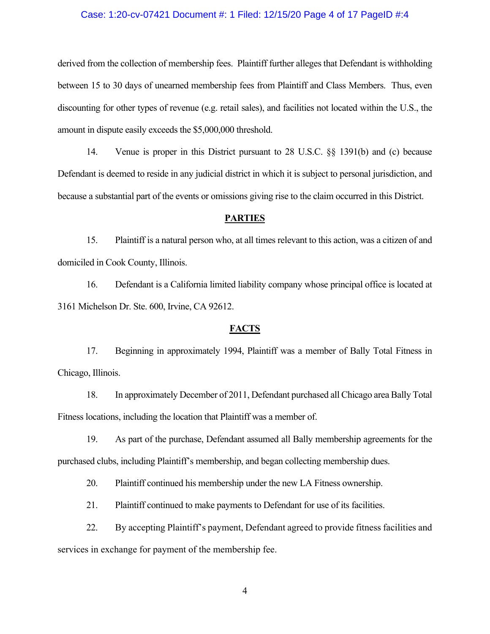### Case: 1:20-cv-07421 Document #: 1 Filed: 12/15/20 Page 4 of 17 PageID #:4

derived from the collection of membership fees. Plaintiff further alleges that Defendant is withholding between 15 to 30 days of unearned membership fees from Plaintiff and Class Members. Thus, even discounting for other types of revenue (e.g. retail sales), and facilities not located within the U.S., the amount in dispute easily exceeds the \$5,000,000 threshold.

14. Venue is proper in this District pursuant to 28 U.S.C. §§ 1391(b) and (c) because Defendant is deemed to reside in any judicial district in which it is subject to personal jurisdiction, and because a substantial part of the events or omissions giving rise to the claim occurred in this District.

### **PARTIES**

15. Plaintiff is a natural person who, at all times relevant to this action, was a citizen of and domiciled in Cook County, Illinois.

16. Defendant is a California limited liability company whose principal office is located at 3161 Michelson Dr. Ste. 600, Irvine, CA 92612.

#### **FACTS**

17. Beginning in approximately 1994, Plaintiff was a member of Bally Total Fitness in Chicago, Illinois.

18. In approximately December of 2011, Defendant purchased all Chicago area Bally Total Fitness locations, including the location that Plaintiff was a member of.

19. As part of the purchase, Defendant assumed all Bally membership agreements for the purchased clubs, including Plaintiff's membership, and began collecting membership dues.

20. Plaintiff continued his membership under the new LA Fitness ownership.

21. Plaintiff continued to make payments to Defendant for use of its facilities.

22. By accepting Plaintiff's payment, Defendant agreed to provide fitness facilities and services in exchange for payment of the membership fee.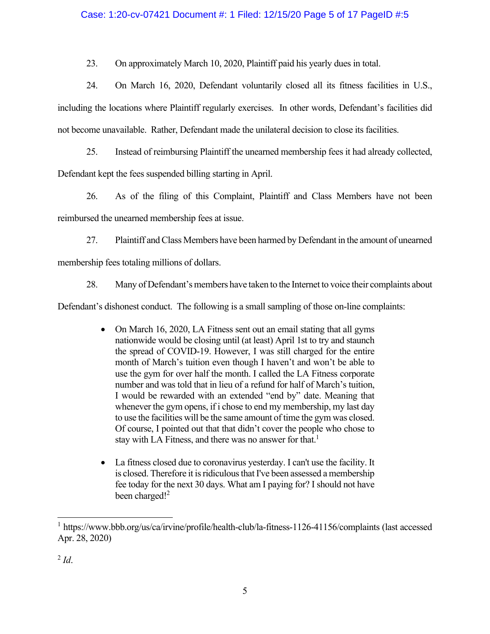## Case: 1:20-cv-07421 Document #: 1 Filed: 12/15/20 Page 5 of 17 PageID #:5

23. On approximately March 10, 2020, Plaintiff paid his yearly dues in total.

24. On March 16, 2020, Defendant voluntarily closed all its fitness facilities in U.S., including the locations where Plaintiff regularly exercises. In other words, Defendant's facilities did not become unavailable. Rather, Defendant made the unilateral decision to close its facilities.

25. Instead of reimbursing Plaintiff the unearned membership fees it had already collected, Defendant kept the fees suspended billing starting in April.

26. As of the filing of this Complaint, Plaintiff and Class Members have not been reimbursed the unearned membership fees at issue.

27. Plaintiff and Class Members have been harmed by Defendant in the amount of unearned

membership fees totaling millions of dollars.

28. Many of Defendant's members have taken to the Internet to voice their complaints about

Defendant's dishonest conduct. The following is a small sampling of those on-line complaints:

- On March 16, 2020, LA Fitness sent out an email stating that all gyms nationwide would be closing until (at least) April 1st to try and staunch the spread of COVID-19. However, I was still charged for the entire month of March's tuition even though I haven't and won't be able to use the gym for over half the month. I called the LA Fitness corporate number and was told that in lieu of a refund for half of March's tuition, I would be rewarded with an extended "end by" date. Meaning that whenever the gym opens, if i chose to end my membership, my last day to use the facilities will be the same amount of time the gym was closed. Of course, I pointed out that that didn't cover the people who chose to stay with LA Fitness, and there was no answer for that.<sup>1</sup>
- La fitness closed due to coronavirus yesterday. I can't use the facility. It is closed. Therefore it is ridiculous that I've been assessed a membership fee today for the next 30 days. What am I paying for? I should not have been charged!<sup>2</sup>

<sup>1</sup> https://www.bbb.org/us/ca/irvine/profile/health-club/la-fitness-1126-41156/complaints (last accessed Apr. 28, 2020)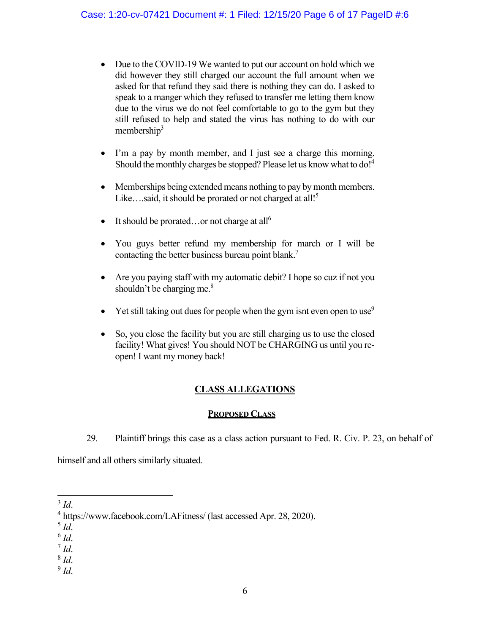- Due to the COVID-19 We wanted to put our account on hold which we did however they still charged our account the full amount when we asked for that refund they said there is nothing they can do. I asked to speak to a manger which they refused to transfer me letting them know due to the virus we do not feel comfortable to go to the gym but they still refused to help and stated the virus has nothing to do with our membership $3$
- I'm a pay by month member, and I just see a charge this morning. Should the monthly charges be stopped? Please let us know what to do!<sup>4</sup>
- Memberships being extended means nothing to pay by month members. Like...said, it should be prorated or not charged at all!<sup>5</sup>
- $\bullet$  It should be prorated...or not charge at all<sup>6</sup>
- You guys better refund my membership for march or I will be contacting the better business bureau point blank.<sup>7</sup>
- Are you paying staff with my automatic debit? I hope so cuz if not you shouldn't be charging me. $\frac{8}{3}$
- $\bullet$  Yet still taking out dues for people when the gym isnt even open to use<sup>9</sup>
- So, you close the facility but you are still charging us to use the closed facility! What gives! You should NOT be CHARGING us until you reopen! I want my money back!

# **CLASS ALLEGATIONS**

## **PROPOSED CLASS**

29. Plaintiff brings this case as a class action pursuant to Fed. R. Civ. P. 23, on behalf of

himself and all others similarly situated.

5 *Id*. 6 *Id*. 7 *Id*. 8 *Id*. 9 *Id*.

 $3$  *Id.* 

https://www.facebook.com/LAFitness/ (last accessed Apr. 28, 2020).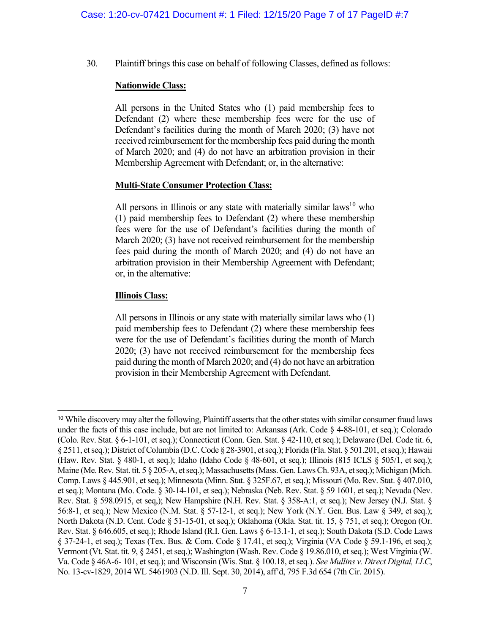30. Plaintiff brings this case on behalf of following Classes, defined as follows:

## **Nationwide Class:**

All persons in the United States who (1) paid membership fees to Defendant (2) where these membership fees were for the use of Defendant's facilities during the month of March 2020; (3) have not received reimbursement for the membership fees paid during the month of March 2020; and (4) do not have an arbitration provision in their Membership Agreement with Defendant; or, in the alternative:

## **Multi-State Consumer Protection Class:**

All persons in Illinois or any state with materially similar laws $10$  who (1) paid membership fees to Defendant (2) where these membership fees were for the use of Defendant's facilities during the month of March 2020; (3) have not received reimbursement for the membership fees paid during the month of March 2020; and (4) do not have an arbitration provision in their Membership Agreement with Defendant; or, in the alternative:

## **Illinois Class:**

All persons in Illinois or any state with materially similar laws who (1) paid membership fees to Defendant (2) where these membership fees were for the use of Defendant's facilities during the month of March 2020; (3) have not received reimbursement for the membership fees paid during the month of March 2020; and (4) do not have an arbitration provision in their Membership Agreement with Defendant.

<sup>&</sup>lt;sup>10</sup> While discovery may alter the following, Plaintiff asserts that the other states with similar consumer fraud laws under the facts of this case include, but are not limited to: Arkansas (Ark. Code § 4-88-101, et seq.); Colorado (Colo. Rev. Stat. § 6-1-101, et seq.); Connecticut (Conn. Gen. Stat. § 42-110, et seq.); Delaware (Del. Code tit. 6, § 2511, et seq.); District of Columbia (D.C. Code § 28-3901, et seq.); Florida (Fla. Stat. § 501.201, et seq.); Hawaii (Haw. Rev. Stat. § 480-1, et seq.); Idaho (Idaho Code § 48-601, et seq.); Illinois (815 ICLS § 505/1, et seq.); Maine (Me. Rev. Stat. tit. 5 § 205-A, et seq.); Massachusetts (Mass. Gen. Laws Ch. 93A, et seq.); Michigan (Mich. Comp. Laws § 445.901, et seq.); Minnesota (Minn. Stat. § 325F.67, et seq.); Missouri (Mo. Rev. Stat. § 407.010, et seq.); Montana (Mo. Code. § 30-14-101, et seq.); Nebraska (Neb. Rev. Stat. § 59 1601, et seq.); Nevada (Nev. Rev. Stat. § 598.0915, et seq,); New Hampshire (N.H. Rev. Stat. § 358-A:1, et seq.); New Jersey (N.J. Stat. § 56:8-1, et seq.); New Mexico (N.M. Stat. § 57-12-1, et seq.); New York (N.Y. Gen. Bus. Law § 349, et seq.); North Dakota (N.D. Cent. Code § 51-15-01, et seq.); Oklahoma (Okla. Stat. tit. 15, § 751, et seq.); Oregon (Or. Rev. Stat. § 646.605, et seq.); Rhode Island (R.I. Gen. Laws § 6-13.1-1, et seq.); South Dakota (S.D. Code Laws § 37-24-1, et seq.); Texas (Tex. Bus. & Com. Code § 17.41, et seq.); Virginia (VA Code § 59.1-196, et seq.); Vermont (Vt. Stat. tit. 9, § 2451, et seq.); Washington (Wash. Rev. Code § 19.86.010, et seq.); West Virginia (W. Va. Code § 46A-6- 101, et seq.); and Wisconsin (Wis. Stat. § 100.18, et seq*.*). *See Mullins v. Direct Digital, LLC*, No. 13-cv-1829, 2014 WL 5461903 (N.D. Ill. Sept. 30, 2014), aff'd, 795 F.3d 654 (7th Cir. 2015).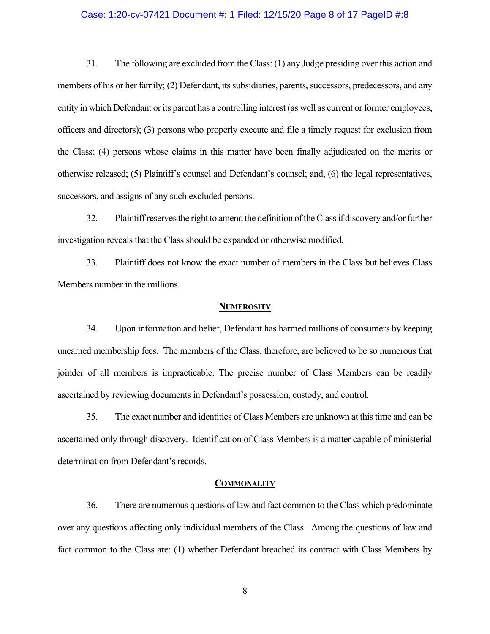### Case: 1:20-cv-07421 Document #: 1 Filed: 12/15/20 Page 8 of 17 PageID #:8

31. The following are excluded from the Class: (1) any Judge presiding over this action and members of his or her family; (2) Defendant, its subsidiaries, parents, successors, predecessors, and any entity in which Defendant or its parent has a controlling interest (as well as current or former employees, officers and directors); (3) persons who properly execute and file a timely request for exclusion from the Class; (4) persons whose claims in this matter have been finally adjudicated on the merits or otherwise released; (5) Plaintiff's counsel and Defendant's counsel; and, (6) the legal representatives, successors, and assigns of any such excluded persons.

32. Plaintiff reserves the right to amend the definition of the Class if discovery and/or further investigation reveals that the Class should be expanded or otherwise modified.

33. Plaintiff does not know the exact number of members in the Class but believes Class Members number in the millions.

#### **NUMEROSITY**

34. Upon information and belief, Defendant has harmed millions of consumers by keeping unearned membership fees. The members of the Class, therefore, are believed to be so numerous that joinder of all members is impracticable. The precise number of Class Members can be readily ascertained by reviewing documents in Defendant's possession, custody, and control.

35. The exact number and identities of Class Members are unknown at this time and can be ascertained only through discovery. Identification of Class Members is a matter capable of ministerial determination from Defendant's records.

#### **COMMONALITY**

36. There are numerous questions of law and fact common to the Class which predominate over any questions affecting only individual members of the Class. Among the questions of law and fact common to the Class are: (1) whether Defendant breached its contract with Class Members by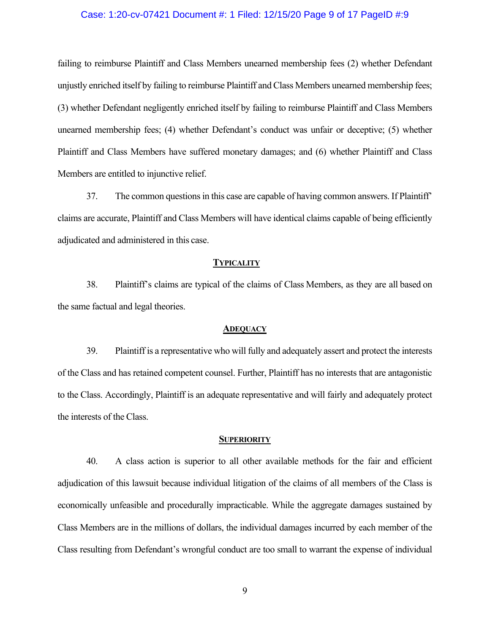### Case: 1:20-cv-07421 Document #: 1 Filed: 12/15/20 Page 9 of 17 PageID #:9

failing to reimburse Plaintiff and Class Members unearned membership fees (2) whether Defendant unjustly enriched itself by failing to reimburse Plaintiff and Class Members unearned membership fees; (3) whether Defendant negligently enriched itself by failing to reimburse Plaintiff and Class Members unearned membership fees; (4) whether Defendant's conduct was unfair or deceptive; (5) whether Plaintiff and Class Members have suffered monetary damages; and (6) whether Plaintiff and Class Members are entitled to injunctive relief.

37. The common questions in this case are capable of having common answers. If Plaintiff' claims are accurate, Plaintiff and Class Members will have identical claims capable of being efficiently adjudicated and administered in this case.

#### **TYPICALITY**

38. Plaintiff's claims are typical of the claims of Class Members, as they are all based on the same factual and legal theories.

#### **ADEQUACY**

39. Plaintiff is a representative who will fully and adequately assert and protect the interests of the Class and has retained competent counsel. Further, Plaintiff has no interests that are antagonistic to the Class. Accordingly, Plaintiff is an adequate representative and will fairly and adequately protect the interests of the Class.

#### **SUPERIORITY**

40. A class action is superior to all other available methods for the fair and efficient adjudication of this lawsuit because individual litigation of the claims of all members of the Class is economically unfeasible and procedurally impracticable. While the aggregate damages sustained by Class Members are in the millions of dollars, the individual damages incurred by each member of the Class resulting from Defendant's wrongful conduct are too small to warrant the expense of individual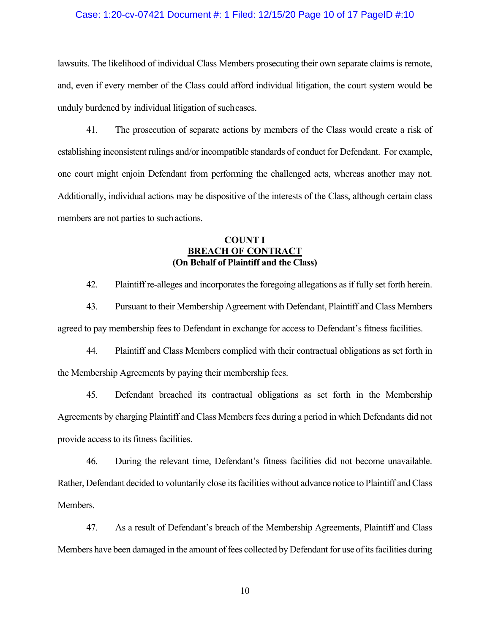### Case: 1:20-cv-07421 Document #: 1 Filed: 12/15/20 Page 10 of 17 PageID #:10

lawsuits. The likelihood of individual Class Members prosecuting their own separate claims is remote, and, even if every member of the Class could afford individual litigation, the court system would be unduly burdened by individual litigation of such cases.

41. The prosecution of separate actions by members of the Class would create a risk of establishing inconsistent rulings and/or incompatible standards of conduct for Defendant. For example, one court might enjoin Defendant from performing the challenged acts, whereas another may not. Additionally, individual actions may be dispositive of the interests of the Class, although certain class members are not parties to such actions.

## **COUNT I BREACH OF CONTRACT (On Behalf of Plaintiff and the Class)**

42. Plaintiff re-alleges and incorporates the foregoing allegations as if fully set forth herein.

43. Pursuant to their Membership Agreement with Defendant, Plaintiff and Class Members agreed to pay membership fees to Defendant in exchange for access to Defendant's fitness facilities.

44. Plaintiff and Class Members complied with their contractual obligations as set forth in the Membership Agreements by paying their membership fees.

45. Defendant breached its contractual obligations as set forth in the Membership Agreements by charging Plaintiff and Class Members fees during a period in which Defendants did not provide access to its fitness facilities.

46. During the relevant time, Defendant's fitness facilities did not become unavailable. Rather, Defendant decided to voluntarily close its facilities without advance notice to Plaintiff and Class Members.

47. As a result of Defendant's breach of the Membership Agreements, Plaintiff and Class Members have been damaged in the amount of fees collected by Defendant for use of its facilities during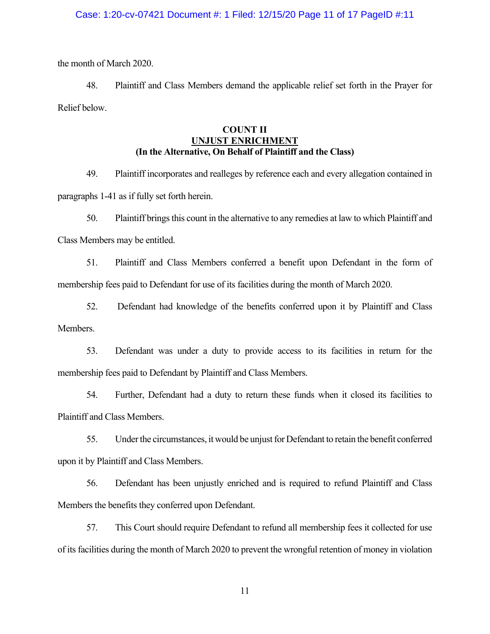### Case: 1:20-cv-07421 Document #: 1 Filed: 12/15/20 Page 11 of 17 PageID #:11

the month of March 2020.

48. Plaintiff and Class Members demand the applicable relief set forth in the Prayer for Relief below.

## **COUNT II UNJUST ENRICHMENT (In the Alternative, On Behalf of Plaintiff and the Class)**

49. Plaintiff incorporates and realleges by reference each and every allegation contained in paragraphs 1-41 as if fully set forth herein.

50. Plaintiff brings this count in the alternative to any remedies at law to which Plaintiff and Class Members may be entitled.

51. Plaintiff and Class Members conferred a benefit upon Defendant in the form of membership fees paid to Defendant for use of its facilities during the month of March 2020.

52. Defendant had knowledge of the benefits conferred upon it by Plaintiff and Class Members.

53. Defendant was under a duty to provide access to its facilities in return for the membership fees paid to Defendant by Plaintiff and Class Members.

54. Further, Defendant had a duty to return these funds when it closed its facilities to Plaintiff and Class Members.

55. Under the circumstances, it would be unjust for Defendant to retain the benefit conferred upon it by Plaintiff and Class Members.

56. Defendant has been unjustly enriched and is required to refund Plaintiff and Class Members the benefits they conferred upon Defendant.

57. This Court should require Defendant to refund all membership fees it collected for use of its facilities during the month of March 2020 to prevent the wrongful retention of money in violation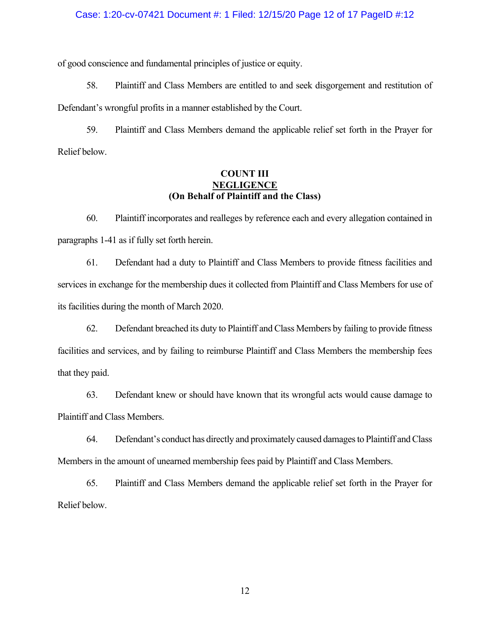### Case: 1:20-cv-07421 Document #: 1 Filed: 12/15/20 Page 12 of 17 PageID #:12

of good conscience and fundamental principles of justice or equity.

58. Plaintiff and Class Members are entitled to and seek disgorgement and restitution of Defendant's wrongful profits in a manner established by the Court.

59. Plaintiff and Class Members demand the applicable relief set forth in the Prayer for Relief below.

## **COUNT III NEGLIGENCE (On Behalf of Plaintiff and the Class)**

60. Plaintiff incorporates and realleges by reference each and every allegation contained in paragraphs 1-41 as if fully set forth herein.

61. Defendant had a duty to Plaintiff and Class Members to provide fitness facilities and services in exchange for the membership dues it collected from Plaintiff and Class Members for use of its facilities during the month of March 2020.

62. Defendant breached its duty to Plaintiff and Class Members by failing to provide fitness facilities and services, and by failing to reimburse Plaintiff and Class Members the membership fees that they paid.

63. Defendant knew or should have known that its wrongful acts would cause damage to Plaintiff and Class Members.

64. Defendant's conduct has directly and proximately caused damages to Plaintiff and Class Members in the amount of unearned membership fees paid by Plaintiff and Class Members.

65. Plaintiff and Class Members demand the applicable relief set forth in the Prayer for Relief below.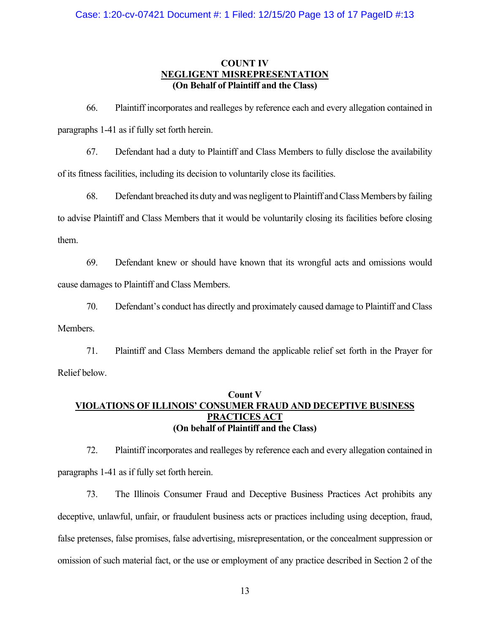## **COUNT IV NEGLIGENT MISREPRESENTATION (On Behalf of Plaintiff and the Class)**

66. Plaintiff incorporates and realleges by reference each and every allegation contained in paragraphs 1-41 as if fully set forth herein.

67. Defendant had a duty to Plaintiff and Class Members to fully disclose the availability of its fitness facilities, including its decision to voluntarily close its facilities.

68. Defendant breached its duty and was negligent to Plaintiff and Class Members by failing to advise Plaintiff and Class Members that it would be voluntarily closing its facilities before closing them.

69. Defendant knew or should have known that its wrongful acts and omissions would cause damages to Plaintiff and Class Members.

70. Defendant's conduct has directly and proximately caused damage to Plaintiff and Class Members.

71. Plaintiff and Class Members demand the applicable relief set forth in the Prayer for Relief below.

## **Count V VIOLATIONS OF ILLINOIS' CONSUMER FRAUD AND DECEPTIVE BUSINESS PRACTICES ACT (On behalf of Plaintiff and the Class)**

72. Plaintiff incorporates and realleges by reference each and every allegation contained in paragraphs 1-41 as if fully set forth herein.

73. The Illinois Consumer Fraud and Deceptive Business Practices Act prohibits any deceptive, unlawful, unfair, or fraudulent business acts or practices including using deception, fraud, false pretenses, false promises, false advertising, misrepresentation, or the concealment suppression or omission of such material fact, or the use or employment of any practice described in Section 2 of the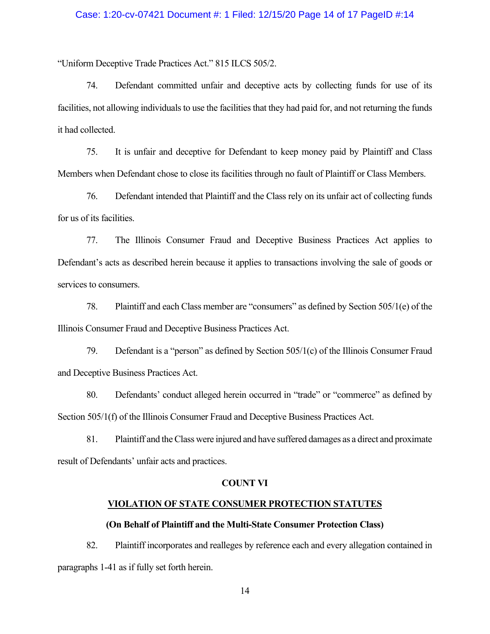### Case: 1:20-cv-07421 Document #: 1 Filed: 12/15/20 Page 14 of 17 PageID #:14

"Uniform Deceptive Trade Practices Act." 815 ILCS 505/2.

74. Defendant committed unfair and deceptive acts by collecting funds for use of its facilities, not allowing individuals to use the facilities that they had paid for, and not returning the funds it had collected.

75. It is unfair and deceptive for Defendant to keep money paid by Plaintiff and Class Members when Defendant chose to close its facilities through no fault of Plaintiff or Class Members.

76. Defendant intended that Plaintiff and the Class rely on its unfair act of collecting funds for us of its facilities.

77. The Illinois Consumer Fraud and Deceptive Business Practices Act applies to Defendant's acts as described herein because it applies to transactions involving the sale of goods or services to consumers.

78. Plaintiff and each Class member are "consumers" as defined by Section 505/1(e) of the Illinois Consumer Fraud and Deceptive Business Practices Act.

79. Defendant is a "person" as defined by Section 505/1(c) of the Illinois Consumer Fraud and Deceptive Business Practices Act.

80. Defendants' conduct alleged herein occurred in "trade" or "commerce" as defined by Section 505/1(f) of the Illinois Consumer Fraud and Deceptive Business Practices Act.

81. Plaintiff and the Class were injured and have suffered damages as a direct and proximate result of Defendants' unfair acts and practices.

#### **COUNT VI**

### **VIOLATION OF STATE CONSUMER PROTECTION STATUTES**

### **(On Behalf of Plaintiff and the Multi-State Consumer Protection Class)**

82. Plaintiff incorporates and realleges by reference each and every allegation contained in paragraphs 1-41 as if fully set forth herein.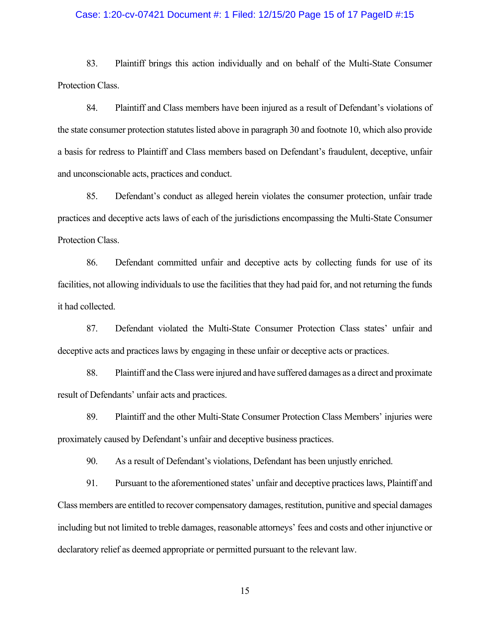### Case: 1:20-cv-07421 Document #: 1 Filed: 12/15/20 Page 15 of 17 PageID #:15

83. Plaintiff brings this action individually and on behalf of the Multi-State Consumer Protection Class.

84. Plaintiff and Class members have been injured as a result of Defendant's violations of the state consumer protection statutes listed above in paragraph 30 and footnote 10, which also provide a basis for redress to Plaintiff and Class members based on Defendant's fraudulent, deceptive, unfair and unconscionable acts, practices and conduct.

85. Defendant's conduct as alleged herein violates the consumer protection, unfair trade practices and deceptive acts laws of each of the jurisdictions encompassing the Multi-State Consumer Protection Class.

86. Defendant committed unfair and deceptive acts by collecting funds for use of its facilities, not allowing individuals to use the facilities that they had paid for, and not returning the funds it had collected.

87. Defendant violated the Multi-State Consumer Protection Class states' unfair and deceptive acts and practices laws by engaging in these unfair or deceptive acts or practices.

88. Plaintiff and the Class were injured and have suffered damages as a direct and proximate result of Defendants' unfair acts and practices.

89. Plaintiff and the other Multi-State Consumer Protection Class Members' injuries were proximately caused by Defendant's unfair and deceptive business practices.

90. As a result of Defendant's violations, Defendant has been unjustly enriched.

91. Pursuant to the aforementioned states' unfair and deceptive practices laws, Plaintiff and Class members are entitled to recover compensatory damages, restitution, punitive and special damages including but not limited to treble damages, reasonable attorneys' fees and costs and other injunctive or declaratory relief as deemed appropriate or permitted pursuant to the relevant law.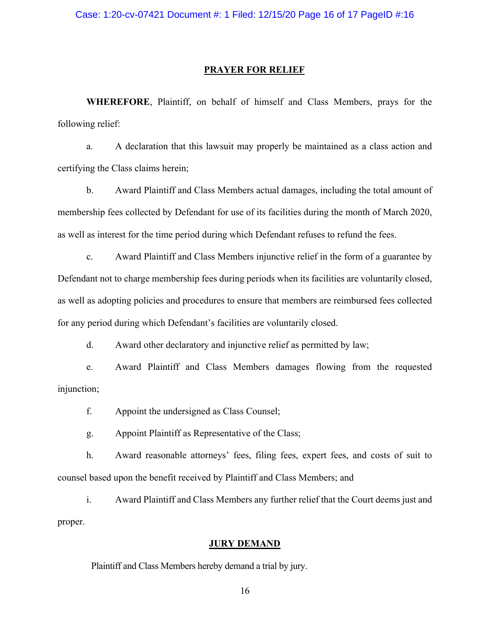### **PRAYER FOR RELIEF**

**WHEREFORE**, Plaintiff, on behalf of himself and Class Members, prays for the following relief:

a. A declaration that this lawsuit may properly be maintained as a class action and certifying the Class claims herein;

b. Award Plaintiff and Class Members actual damages, including the total amount of membership fees collected by Defendant for use of its facilities during the month of March 2020, as well as interest for the time period during which Defendant refuses to refund the fees.

c. Award Plaintiff and Class Members injunctive relief in the form of a guarantee by Defendant not to charge membership fees during periods when its facilities are voluntarily closed, as well as adopting policies and procedures to ensure that members are reimbursed fees collected for any period during which Defendant's facilities are voluntarily closed.

d. Award other declaratory and injunctive relief as permitted by law;

e. Award Plaintiff and Class Members damages flowing from the requested injunction;

f. Appoint the undersigned as Class Counsel;

g. Appoint Plaintiff as Representative of the Class;

h. Award reasonable attorneys' fees, filing fees, expert fees, and costs of suit to counsel based upon the benefit received by Plaintiff and Class Members; and

i. Award Plaintiff and Class Members any further relief that the Court deems just and proper.

#### **JURY DEMAND**

Plaintiff and Class Members hereby demand a trial by jury.